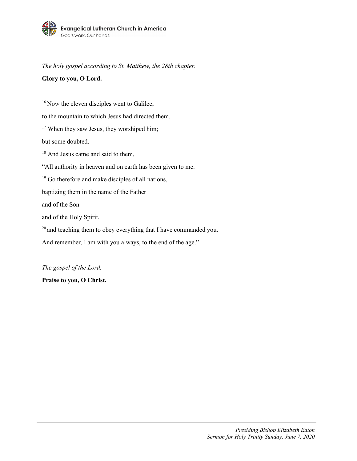

*The holy gospel according to St. Matthew, the 28th chapter.*

## **Glory to you, O Lord.**

<sup>16</sup> Now the eleven disciples went to Galilee, to the mountain to which Jesus had directed them. <sup>17</sup> When they saw Jesus, they worshiped him; but some doubted. <sup>18</sup> And Jesus came and said to them, "All authority in heaven and on earth has been given to me.  $19$  Go therefore and make disciples of all nations, baptizing them in the name of the Father and of the Son and of the Holy Spirit,  $20$  and teaching them to obey everything that I have commanded you. And remember, I am with you always, to the end of the age."

*The gospel of the Lord.*

**Praise to you, O Christ.**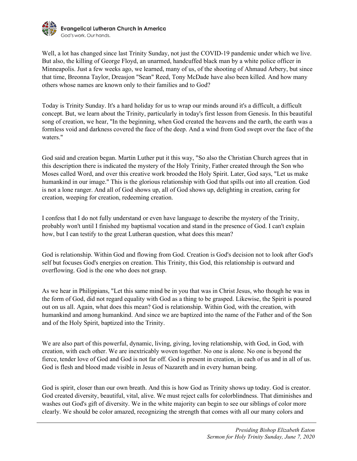

Well, a lot has changed since last Trinity Sunday, not just the COVID-19 pandemic under which we live. But also, the killing of George Floyd, an unarmed, handcuffed black man by a white police officer in Minneapolis. Just a few weeks ago, we learned, many of us, of the shooting of Ahmaud Arbery, but since that time, Breonna Taylor, Dreasjon "Sean" Reed, Tony McDade have also been killed. And how many others whose names are known only to their families and to God?

Today is Trinity Sunday. It's a hard holiday for us to wrap our minds around it's a difficult, a difficult concept. But, we learn about the Trinity, particularly in today's first lesson from Genesis. In this beautiful song of creation, we hear, "In the beginning, when God created the heavens and the earth, the earth was a formless void and darkness covered the face of the deep. And a wind from God swept over the face of the waters."

God said and creation began. Martin Luther put it this way, "So also the Christian Church agrees that in this description there is indicated the mystery of the Holy Trinity, Father created through the Son who Moses called Word, and over this creative work brooded the Holy Spirit. Later, God says, "Let us make humankind in our image." This is the glorious relationship with God that spills out into all creation. God is not a lone ranger. And all of God shows up, all of God shows up, delighting in creation, caring for creation, weeping for creation, redeeming creation.

I confess that I do not fully understand or even have language to describe the mystery of the Trinity, probably won't until I finished my baptismal vocation and stand in the presence of God. I can't explain how, but I can testify to the great Lutheran question, what does this mean?

God is relationship. Within God and flowing from God. Creation is God's decision not to look after God's self but focuses God's energies on creation. This Trinity, this God, this relationship is outward and overflowing. God is the one who does not grasp.

As we hear in Philippians, "Let this same mind be in you that was in Christ Jesus, who though he was in the form of God, did not regard equality with God as a thing to be grasped. Likewise, the Spirit is poured out on us all. Again, what does this mean? God is relationship. Within God, with the creation, with humankind and among humankind. And since we are baptized into the name of the Father and of the Son and of the Holy Spirit, baptized into the Trinity.

We are also part of this powerful, dynamic, living, giving, loving relationship, with God, in God, with creation, with each other. We are inextricably woven together. No one is alone. No one is beyond the fierce, tender love of God and God is not far off. God is present in creation, in each of us and in all of us. God is flesh and blood made visible in Jesus of Nazareth and in every human being.

God is spirit, closer than our own breath. And this is how God as Trinity shows up today. God is creator. God created diversity, beautiful, vital, alive. We must reject calls for colorblindness. That diminishes and washes out God's gift of diversity. We in the white majority can begin to see our siblings of color more clearly. We should be color amazed, recognizing the strength that comes with all our many colors and